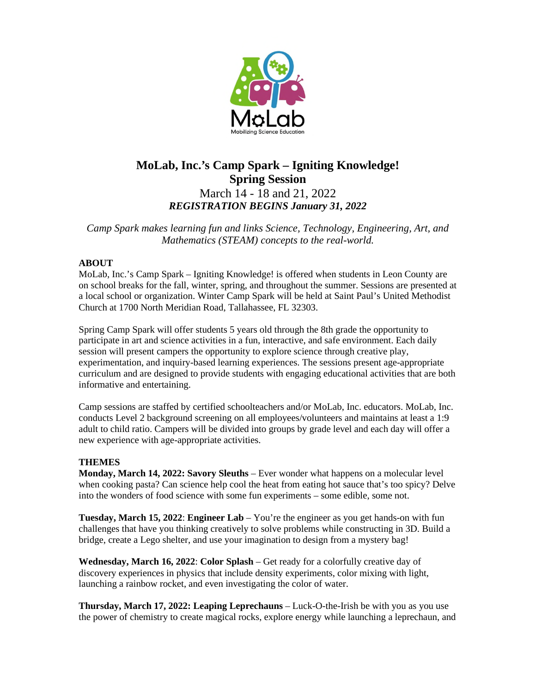

# **MoLab, Inc.'s Camp Spark – Igniting Knowledge! Spring Session** March 14 - 18 and 21, 2022 *REGISTRATION BEGINS January 31, 2022*

*Camp Spark makes learning fun and links Science, Technology, Engineering, Art, and Mathematics (STEAM) concepts to the real-world.* 

## **ABOUT**

MoLab, Inc.'s Camp Spark – Igniting Knowledge! is offered when students in Leon County are on school breaks for the fall, winter, spring, and throughout the summer. Sessions are presented at a local school or organization. Winter Camp Spark will be held at Saint Paul's United Methodist Church at 1700 North Meridian Road, Tallahassee, FL 32303.

Spring Camp Spark will offer students 5 years old through the 8th grade the opportunity to participate in art and science activities in a fun, interactive, and safe environment. Each daily session will present campers the opportunity to explore science through creative play, experimentation, and inquiry-based learning experiences. The sessions present age-appropriate curriculum and are designed to provide students with engaging educational activities that are both informative and entertaining.

Camp sessions are staffed by certified schoolteachers and/or MoLab, Inc. educators. MoLab, Inc. conducts Level 2 background screening on all employees/volunteers and maintains at least a 1:9 adult to child ratio. Campers will be divided into groups by grade level and each day will offer a new experience with age-appropriate activities.

### **THEMES**

**Monday, March 14, 2022: Savory Sleuths** – Ever wonder what happens on a molecular level when cooking pasta? Can science help cool the heat from eating hot sauce that's too spicy? Delve into the wonders of food science with some fun experiments – some edible, some not.

**Tuesday, March 15, 2022**: **Engineer Lab** – You're the engineer as you get hands-on with fun challenges that have you thinking creatively to solve problems while constructing in 3D. Build a bridge, create a Lego shelter, and use your imagination to design from a mystery bag!

**Wednesday, March 16, 2022**: **Color Splash** – Get ready for a colorfully creative day of discovery experiences in physics that include density experiments, color mixing with light, launching a rainbow rocket, and even investigating the color of water.

**Thursday, March 17, 2022: Leaping Leprechauns** – Luck-O-the-Irish be with you as you use the power of chemistry to create magical rocks, explore energy while launching a leprechaun, and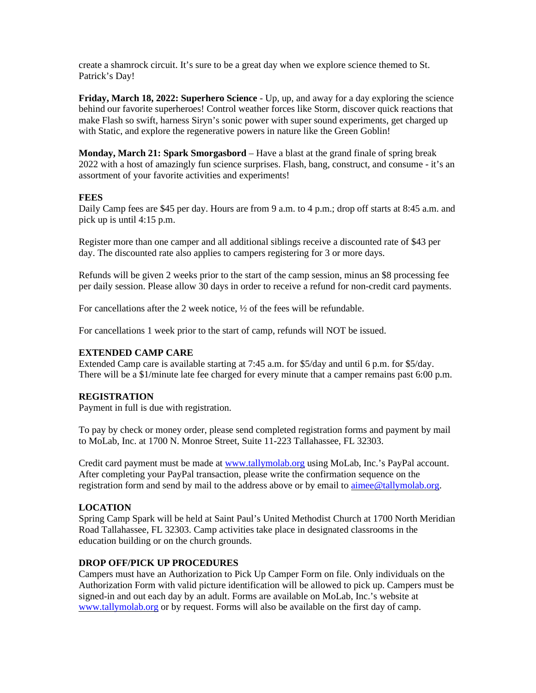create a shamrock circuit. It's sure to be a great day when we explore science themed to St. Patrick's Day!

**Friday, March 18, 2022: Superhero Science** - Up, up, and away for a day exploring the science behind our favorite superheroes! Control weather forces like Storm, discover quick reactions that make Flash so swift, harness Siryn's sonic power with super sound experiments, get charged up with Static, and explore the regenerative powers in nature like the Green Goblin!

**Monday, March 21: Spark Smorgasbord** – Have a blast at the grand finale of spring break 2022 with a host of amazingly fun science surprises. Flash, bang, construct, and consume - it's an assortment of your favorite activities and experiments!

#### **FEES**

Daily Camp fees are \$45 per day. Hours are from 9 a.m. to 4 p.m.; drop off starts at 8:45 a.m. and pick up is until 4:15 p.m.

Register more than one camper and all additional siblings receive a discounted rate of \$43 per day. The discounted rate also applies to campers registering for 3 or more days.

Refunds will be given 2 weeks prior to the start of the camp session, minus an \$8 processing fee per daily session. Please allow 30 days in order to receive a refund for non-credit card payments.

For cancellations after the 2 week notice, ½ of the fees will be refundable.

For cancellations 1 week prior to the start of camp, refunds will NOT be issued.

### **EXTENDED CAMP CARE**

Extended Camp care is available starting at 7:45 a.m. for \$5/day and until 6 p.m. for \$5/day. There will be a \$1/minute late fee charged for every minute that a camper remains past 6:00 p.m.

#### **REGISTRATION**

Payment in full is due with registration.

To pay by check or money order, please send completed registration forms and payment by mail to MoLab, Inc. at 1700 N. Monroe Street, Suite 11-223 Tallahassee, FL 32303.

Credit card payment must be made at [www.tallymolab.org](http://www.tallymolab.org/) using MoLab, Inc.'s PayPal account. After completing your PayPal transaction, please write the confirmation sequence on the registration form and send by mail to the address above or by email to [aimee@tallymolab.org.](mailto:aimee@tallymolab.org)

### **LOCATION**

Spring Camp Spark will be held at Saint Paul's United Methodist Church at 1700 North Meridian Road Tallahassee, FL 32303. Camp activities take place in designated classrooms in the education building or on the church grounds.

# **DROP OFF/PICK UP PROCEDURES**

Campers must have an Authorization to Pick Up Camper Form on file. Only individuals on the Authorization Form with valid picture identification will be allowed to pick up. Campers must be signed-in and out each day by an adult. Forms are available on MoLab, Inc.'s website at [www.tallymolab.org](http://www.tallymolab.org/) or by request. Forms will also be available on the first day of camp.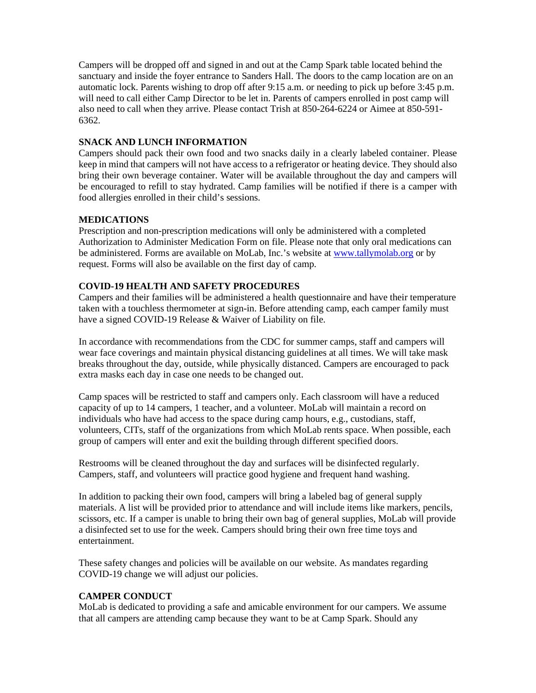Campers will be dropped off and signed in and out at the Camp Spark table located behind the sanctuary and inside the foyer entrance to Sanders Hall. The doors to the camp location are on an automatic lock. Parents wishing to drop off after 9:15 a.m. or needing to pick up before 3:45 p.m. will need to call either Camp Director to be let in. Parents of campers enrolled in post camp will also need to call when they arrive. Please contact Trish at 850-264-6224 or Aimee at 850-591- 6362.

## **SNACK AND LUNCH INFORMATION**

Campers should pack their own food and two snacks daily in a clearly labeled container. Please keep in mind that campers will not have access to a refrigerator or heating device. They should also bring their own beverage container. Water will be available throughout the day and campers will be encouraged to refill to stay hydrated. Camp families will be notified if there is a camper with food allergies enrolled in their child's sessions.

### **MEDICATIONS**

Prescription and non-prescription medications will only be administered with a completed Authorization to Administer Medication Form on file. Please note that only oral medications can be administered. Forms are available on MoLab, Inc.'s website at [www.tallymolab.org](http://www.tallymolab.org/) or by request. Forms will also be available on the first day of camp.

### **COVID-19 HEALTH AND SAFETY PROCEDURES**

Campers and their families will be administered a health questionnaire and have their temperature taken with a touchless thermometer at sign-in. Before attending camp, each camper family must have a signed COVID-19 Release & Waiver of Liability on file.

In accordance with recommendations from the CDC for summer camps, staff and campers will wear face coverings and maintain physical distancing guidelines at all times. We will take mask breaks throughout the day, outside, while physically distanced. Campers are encouraged to pack extra masks each day in case one needs to be changed out.

Camp spaces will be restricted to staff and campers only. Each classroom will have a reduced capacity of up to 14 campers, 1 teacher, and a volunteer. MoLab will maintain a record on individuals who have had access to the space during camp hours, e.g., custodians, staff, volunteers, CITs, staff of the organizations from which MoLab rents space. When possible, each group of campers will enter and exit the building through different specified doors.

Restrooms will be cleaned throughout the day and surfaces will be disinfected regularly. Campers, staff, and volunteers will practice good hygiene and frequent hand washing.

In addition to packing their own food, campers will bring a labeled bag of general supply materials. A list will be provided prior to attendance and will include items like markers, pencils, scissors, etc. If a camper is unable to bring their own bag of general supplies, MoLab will provide a disinfected set to use for the week. Campers should bring their own free time toys and entertainment.

These safety changes and policies will be available on our website. As mandates regarding COVID-19 change we will adjust our policies.

### **CAMPER CONDUCT**

MoLab is dedicated to providing a safe and amicable environment for our campers. We assume that all campers are attending camp because they want to be at Camp Spark. Should any